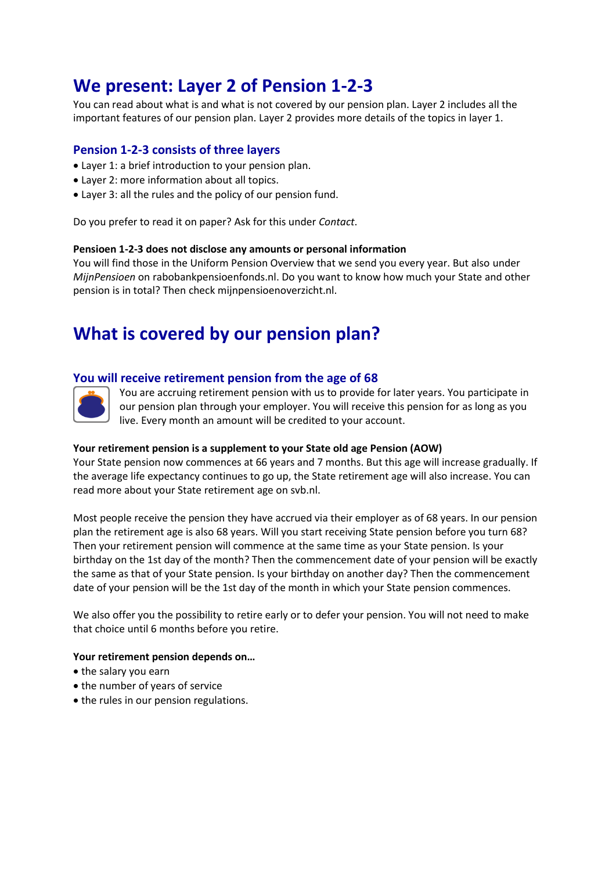# **We present: Layer 2 of Pension 1-2-3**

You can read about what is and what is not covered by our pension plan. Layer 2 includes all the important features of our pension plan. Layer 2 provides more details of the topics in layer 1.

# **Pension 1-2-3 consists of three layers**

- Layer 1: a brief introduction to your pension plan.
- Layer 2: more information about all topics.
- Layer 3: all the rules and the policy of our pension fund.

Do you prefer to read it on paper? Ask for this under *Contact*.

# **Pensioen 1-2-3 does not disclose any amounts or personal information**

You will find those in the Uniform Pension Overview that we send you every year. But also under *MijnPensioen* on rabobankpensioenfonds.nl. Do you want to know how much your State and other pension is in total? Then check mijnpensioenoverzicht.nl.

# **What is covered by our pension plan?**

# **You will receive retirement pension from the age of 68**



You are accruing retirement pension with us to provide for later years. You participate in our pension plan through your employer. You will receive this pension for as long as you live. Every month an amount will be credited to your account.

# **Your retirement pension is a supplement to your State old age Pension (AOW)**

Your State pension now commences at 66 years and 7 months. But this age will increase gradually. If the average life expectancy continues to go up, the State retirement age will also increase. You can read more about your State retirement age on svb.nl.

Most people receive the pension they have accrued via their employer as of 68 years. In our pension plan the retirement age is also 68 years. Will you start receiving State pension before you turn 68? Then your retirement pension will commence at the same time as your State pension. Is your birthday on the 1st day of the month? Then the commencement date of your pension will be exactly the same as that of your State pension. Is your birthday on another day? Then the commencement date of your pension will be the 1st day of the month in which your State pension commences.

We also offer you the possibility to retire early or to defer your pension. You will not need to make that choice until 6 months before you retire.

# **Your retirement pension depends on…**

- the salary you earn
- the number of years of service
- the rules in our pension regulations.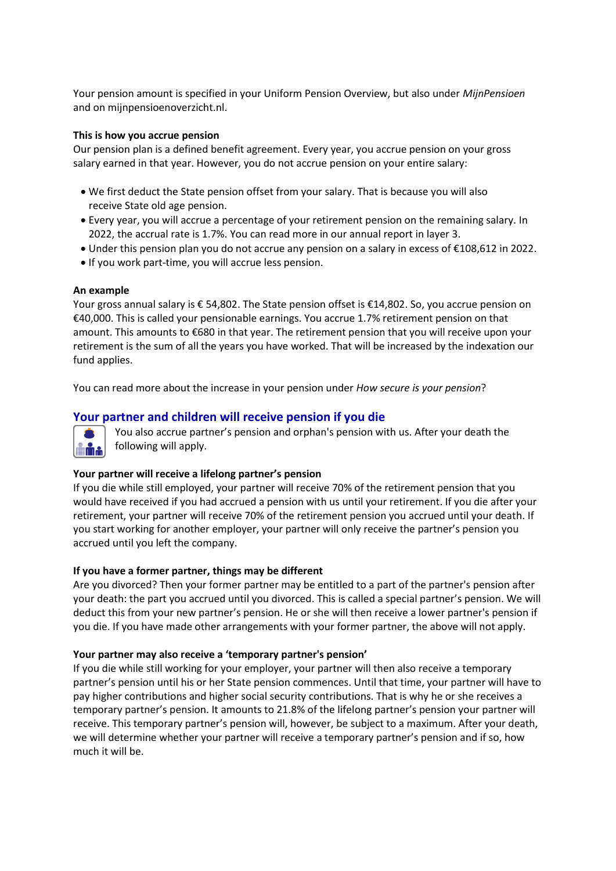Your pension amount is specified in your Uniform Pension Overview, but also under *MijnPensioen* and on mijnpensioenoverzicht.nl.

#### **This is how you accrue pension**

Our pension plan is a defined benefit agreement. Every year, you accrue pension on your gross salary earned in that year. However, you do not accrue pension on your entire salary:

- We first deduct the State pension offset from your salary. That is because you will also receive State old age pension.
- Every year, you will accrue a percentage of your retirement pension on the remaining salary. In 2022, the accrual rate is 1.7%. You can read more in our annual report in layer 3.
- Under this pension plan you do not accrue any pension on a salary in excess of €108,612 in 2022.
- If you work part-time, you will accrue less pension.

#### **An example**

Your gross annual salary is € 54,802. The State pension offset is €14,802. So, you accrue pension on €40,000. This is called your pensionable earnings. You accrue 1.7% retirement pension on that amount. This amounts to €680 in that year. The retirement pension that you will receive upon your retirement is the sum of all the years you have worked. That will be increased by the indexation our fund applies.

You can read more about the increase in your pension under *How secure is your pension*?

# **Your partner and children will receive pension if you die**



You also accrue partner's pension and orphan's pension with us. After your death the following will apply.

# **Your partner will receive a lifelong partner's pension**

If you die while still employed, your partner will receive 70% of the retirement pension that you would have received if you had accrued a pension with us until your retirement. If you die after your retirement, your partner will receive 70% of the retirement pension you accrued until your death. If you start working for another employer, your partner will only receive the partner's pension you accrued until you left the company.

# **If you have a former partner, things may be different**

Are you divorced? Then your former partner may be entitled to a part of the partner's pension after your death: the part you accrued until you divorced. This is called a special partner's pension. We will deduct this from your new partner's pension. He or she will then receive a lower partner's pension if you die. If you have made other arrangements with your former partner, the above will not apply.

#### **Your partner may also receive a 'temporary partner's pension'**

If you die while still working for your employer, your partner will then also receive a temporary partner's pension until his or her State pension commences. Until that time, your partner will have to pay higher contributions and higher social security contributions. That is why he or she receives a temporary partner's pension. It amounts to 21.8% of the lifelong partner's pension your partner will receive. This temporary partner's pension will, however, be subject to a maximum. After your death, we will determine whether your partner will receive a temporary partner's pension and if so, how much it will be.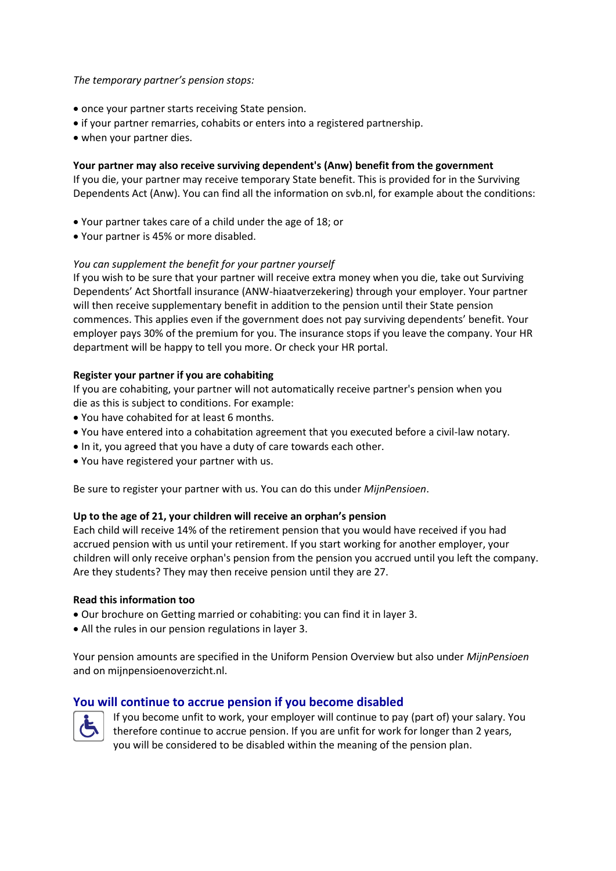# *The temporary partner's pension stops:*

- once your partner starts receiving State pension.
- if your partner remarries, cohabits or enters into a registered partnership.
- when your partner dies.

# **Your partner may also receive surviving dependent's (Anw) benefit from the government**

If you die, your partner may receive temporary State benefit. This is provided for in the Surviving Dependents Act (Anw). You can find all the information on svb.nl, for example about the conditions:

- Your partner takes care of a child under the age of 18; or
- Your partner is 45% or more disabled.

# *You can supplement the benefit for your partner yourself*

If you wish to be sure that your partner will receive extra money when you die, take out Surviving Dependents' Act Shortfall insurance (ANW-hiaatverzekering) through your employer. Your partner will then receive supplementary benefit in addition to the pension until their State pension commences. This applies even if the government does not pay surviving dependents' benefit. Your employer pays 30% of the premium for you. The insurance stops if you leave the company. Your HR department will be happy to tell you more. Or check your HR portal.

# **Register your partner if you are cohabiting**

If you are cohabiting, your partner will not automatically receive partner's pension when you die as this is subject to conditions. For example:

- You have cohabited for at least 6 months.
- You have entered into a cohabitation agreement that you executed before a civil-law notary.
- In it, you agreed that you have a duty of care towards each other.
- You have registered your partner with us.

Be sure to register your partner with us. You can do this under *MijnPensioen*.

# **Up to the age of 21, your children will receive an orphan's pension**

Each child will receive 14% of the retirement pension that you would have received if you had accrued pension with us until your retirement. If you start working for another employer, your children will only receive orphan's pension from the pension you accrued until you left the company. Are they students? They may then receive pension until they are 27.

# **Read this information too**

- Our brochure on Getting married or cohabiting: you can find it in layer 3.
- All the rules in our pension regulations in layer 3.

Your pension amounts are specified in the Uniform Pension Overview but also under *MijnPensioen*  and on mijnpensioenoverzicht.nl.

# **You will continue to accrue pension if you become disabled**



If you become unfit to work, your employer will continue to pay (part of) your salary. You therefore continue to accrue pension. If you are unfit for work for longer than 2 years, you will be considered to be disabled within the meaning of the pension plan.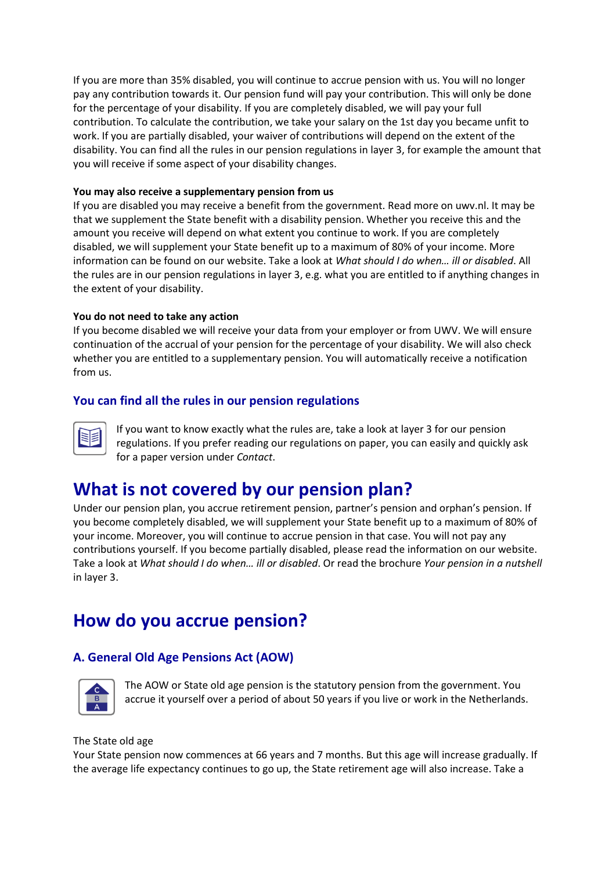If you are more than 35% disabled, you will continue to accrue pension with us. You will no longer pay any contribution towards it. Our pension fund will pay your contribution. This will only be done for the percentage of your disability. If you are completely disabled, we will pay your full contribution. To calculate the contribution, we take your salary on the 1st day you became unfit to work. If you are partially disabled, your waiver of contributions will depend on the extent of the disability. You can find all the rules in our pension regulations in layer 3, for example the amount that you will receive if some aspect of your disability changes.

# **You may also receive a supplementary pension from us**

If you are disabled you may receive a benefit from the government. Read more on uwv.nl. It may be that we supplement the State benefit with a disability pension. Whether you receive this and the amount you receive will depend on what extent you continue to work. If you are completely disabled, we will supplement your State benefit up to a maximum of 80% of your income. More information can be found on our website. Take a look at *What should I do when… ill or disabled*. All the rules are in our pension regulations in layer 3, e.g. what you are entitled to if anything changes in the extent of your disability.

# **You do not need to take any action**

If you become disabled we will receive your data from your employer or from UWV. We will ensure continuation of the accrual of your pension for the percentage of your disability. We will also check whether you are entitled to a supplementary pension. You will automatically receive a notification from us.

# **You can find all the rules in our pension regulations**



If you want to know exactly what the rules are, take a look at layer 3 for our pension regulations. If you prefer reading our regulations on paper, you can easily and quickly ask for a paper version under *Contact*.

# **What is not covered by our pension plan?**

Under our pension plan, you accrue retirement pension, partner's pension and orphan's pension. If you become completely disabled, we will supplement your State benefit up to a maximum of 80% of your income. Moreover, you will continue to accrue pension in that case. You will not pay any contributions yourself. If you become partially disabled, please read the information on our website. Take a look at *What should I do when… ill or disabled*. Or read the brochure *Your pension in a nutshell* in layer 3.

# **How do you accrue pension?**

# **A. General Old Age Pensions Act (AOW)**



The AOW or State old age pension is the statutory pension from the government. You accrue it yourself over a period of about 50 years if you live or work in the Netherlands.

# The State old age

Your State pension now commences at 66 years and 7 months. But this age will increase gradually. If the average life expectancy continues to go up, the State retirement age will also increase. Take a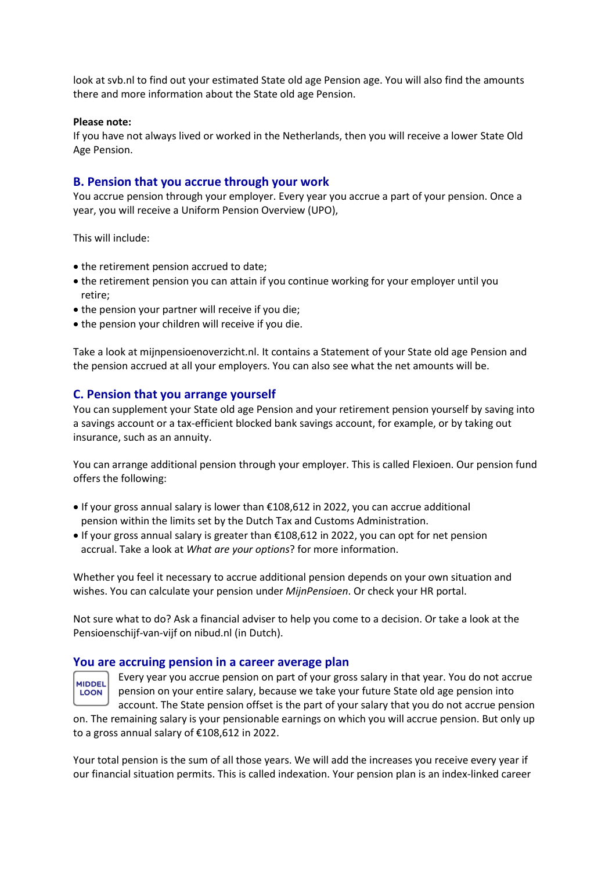look at svb.nl to find out your estimated State old age Pension age. You will also find the amounts there and more information about the State old age Pension.

### **Please note:**

If you have not always lived or worked in the Netherlands, then you will receive a lower State Old Age Pension.

# **B. Pension that you accrue through your work**

You accrue pension through your employer. Every year you accrue a part of your pension. Once a year, you will receive a Uniform Pension Overview (UPO),

This will include:

- the retirement pension accrued to date;
- the retirement pension you can attain if you continue working for your employer until you retire;
- the pension your partner will receive if you die;
- the pension your children will receive if you die.

Take a look at mijnpensioenoverzicht.nl. It contains a Statement of your State old age Pension and the pension accrued at all your employers. You can also see what the net amounts will be.

# **C. Pension that you arrange yourself**

You can supplement your State old age Pension and your retirement pension yourself by saving into a savings account or a tax-efficient blocked bank savings account, for example, or by taking out insurance, such as an annuity.

You can arrange additional pension through your employer. This is called Flexioen. Our pension fund offers the following:

- If your gross annual salary is lower than €108,612 in 2022, you can accrue additional pension within the limits set by the Dutch Tax and Customs Administration.
- If your gross annual salary is greater than €108,612 in 2022, you can opt for net pension accrual. Take a look at *What are your options*? for more information.

Whether you feel it necessary to accrue additional pension depends on your own situation and wishes. You can calculate your pension under *MijnPensioen*. Or check your HR portal.

Not sure what to do? Ask a financial adviser to help you come to a decision. Or take a look at the Pensioenschijf-van-vijf on nibud.nl (in Dutch).

# **You are accruing pension in a career average plan**

**MIDDEL LOON** 

Every year you accrue pension on part of your gross salary in that year. You do not accrue pension on your entire salary, because we take your future State old age pension into account. The State pension offset is the part of your salary that you do not accrue pension

on. The remaining salary is your pensionable earnings on which you will accrue pension. But only up to a gross annual salary of €108,612 in 2022.

Your total pension is the sum of all those years. We will add the increases you receive every year if our financial situation permits. This is called indexation. Your pension plan is an index-linked career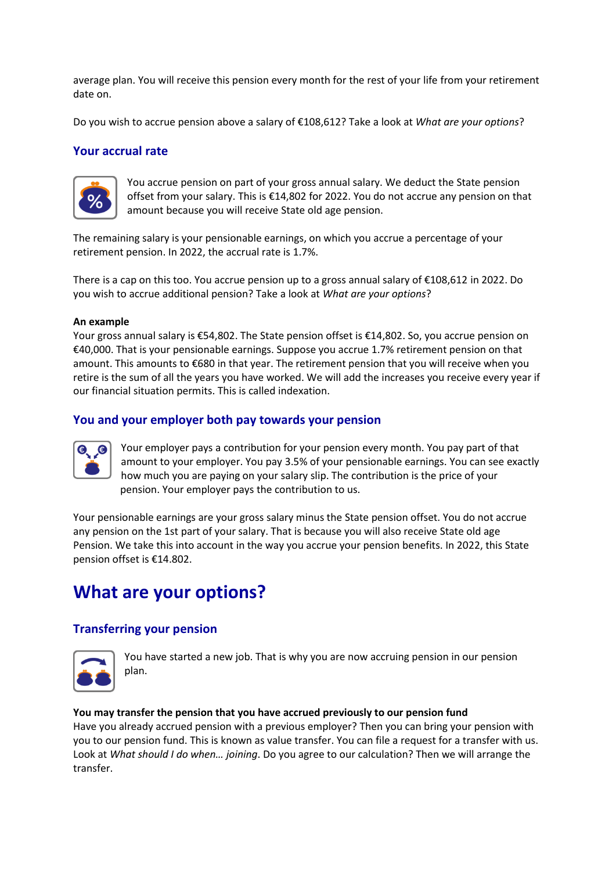average plan. You will receive this pension every month for the rest of your life from your retirement date on.

Do you wish to accrue pension above a salary of €108,612? Take a look at *What are your options*?

# **Your accrual rate**



You accrue pension on part of your gross annual salary. We deduct the State pension offset from your salary. This is €14,802 for 2022. You do not accrue any pension on that amount because you will receive State old age pension.

The remaining salary is your pensionable earnings, on which you accrue a percentage of your retirement pension. In 2022, the accrual rate is 1.7%.

There is a cap on this too. You accrue pension up to a gross annual salary of €108,612 in 2022. Do you wish to accrue additional pension? Take a look at *What are your options*?

#### **An example**

Your gross annual salary is €54,802. The State pension offset is €14,802. So, you accrue pension on €40,000. That is your pensionable earnings. Suppose you accrue 1.7% retirement pension on that amount. This amounts to €680 in that year. The retirement pension that you will receive when you retire is the sum of all the years you have worked. We will add the increases you receive every year if our financial situation permits. This is called indexation.

# **You and your employer both pay towards your pension**



Your employer pays a contribution for your pension every month. You pay part of that amount to your employer. You pay 3.5% of your pensionable earnings. You can see exactly how much you are paying on your salary slip. The contribution is the price of your pension. Your employer pays the contribution to us.

Your pensionable earnings are your gross salary minus the State pension offset. You do not accrue any pension on the 1st part of your salary. That is because you will also receive State old age Pension. We take this into account in the way you accrue your pension benefits. In 2022, this State pension offset is €14.802.

# **What are your options?**

# **Transferring your pension**



You have started a new job. That is why you are now accruing pension in our pension plan.

# **You may transfer the pension that you have accrued previously to our pension fund**

Have you already accrued pension with a previous employer? Then you can bring your pension with you to our pension fund. This is known as value transfer. You can file a request for a transfer with us. Look at *What should I do when… joining*. Do you agree to our calculation? Then we will arrange the transfer.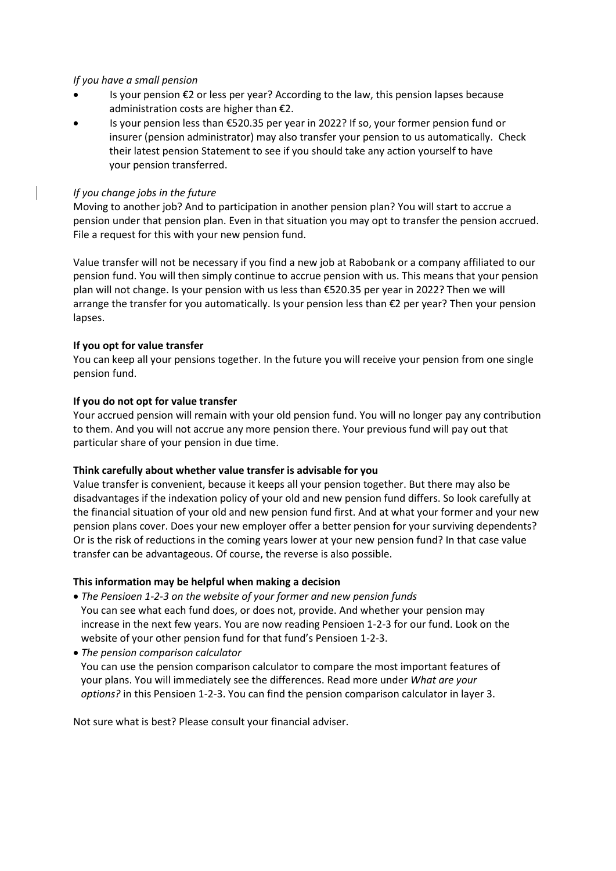# *If you have a small pension*

- Is your pension €2 or less per year? According to the law, this pension lapses because administration costs are higher than €2.
- Is your pension less than €520.35 per year in 2022? If so, your former pension fund or insurer (pension administrator) may also transfer your pension to us automatically. Check their latest pension Statement to see if you should take any action yourself to have your pension transferred.

# *If you change jobs in the future*

Moving to another job? And to participation in another pension plan? You will start to accrue a pension under that pension plan. Even in that situation you may opt to transfer the pension accrued. File a request for this with your new pension fund.

Value transfer will not be necessary if you find a new job at Rabobank or a company affiliated to our pension fund. You will then simply continue to accrue pension with us. This means that your pension plan will not change. Is your pension with us less than €520.35 per year in 2022? Then we will arrange the transfer for you automatically. Is your pension less than €2 per year? Then your pension lapses.

# **If you opt for value transfer**

You can keep all your pensions together. In the future you will receive your pension from one single pension fund.

# **If you do not opt for value transfer**

Your accrued pension will remain with your old pension fund. You will no longer pay any contribution to them. And you will not accrue any more pension there. Your previous fund will pay out that particular share of your pension in due time.

# **Think carefully about whether value transfer is advisable for you**

Value transfer is convenient, because it keeps all your pension together. But there may also be disadvantages if the indexation policy of your old and new pension fund differs. So look carefully at the financial situation of your old and new pension fund first. And at what your former and your new pension plans cover. Does your new employer offer a better pension for your surviving dependents? Or is the risk of reductions in the coming years lower at your new pension fund? In that case value transfer can be advantageous. Of course, the reverse is also possible.

# **This information may be helpful when making a decision**

- *The Pensioen 1-2-3 on the website of your former and new pension funds* You can see what each fund does, or does not, provide. And whether your pension may increase in the next few years. You are now reading Pensioen 1-2-3 for our fund. Look on the website of your other pension fund for that fund's Pensioen 1-2-3.
- *The pension comparison calculator*

 You can use the pension comparison calculator to compare the most important features of your plans. You will immediately see the differences. Read more under *What are your options?* in this Pensioen 1-2-3. You can find the pension comparison calculator in layer 3.

Not sure what is best? Please consult your financial adviser.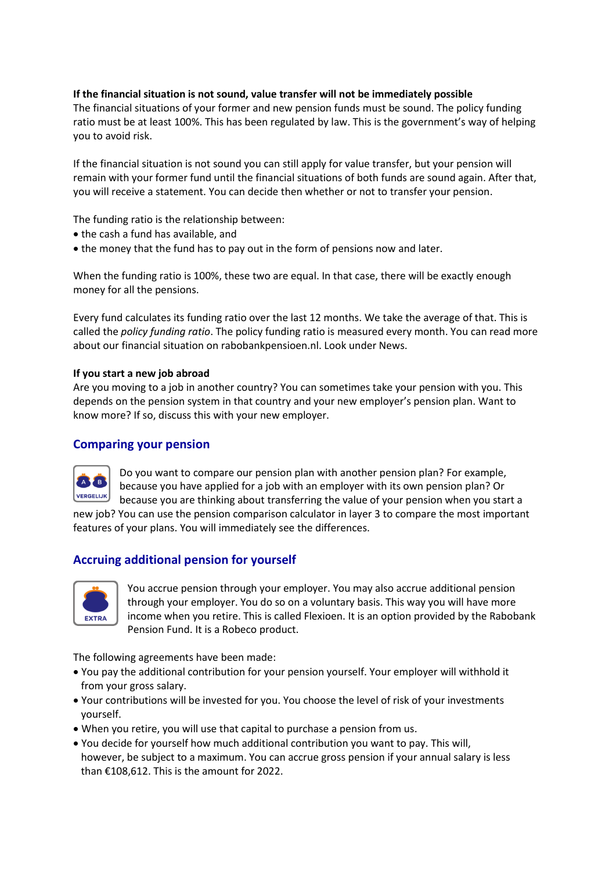# **If the financial situation is not sound, value transfer will not be immediately possible**

The financial situations of your former and new pension funds must be sound. The policy funding ratio must be at least 100%. This has been regulated by law. This is the government's way of helping you to avoid risk.

If the financial situation is not sound you can still apply for value transfer, but your pension will remain with your former fund until the financial situations of both funds are sound again. After that, you will receive a statement. You can decide then whether or not to transfer your pension.

The funding ratio is the relationship between:

- the cash a fund has available, and
- the money that the fund has to pay out in the form of pensions now and later.

When the funding ratio is 100%, these two are equal. In that case, there will be exactly enough money for all the pensions.

Every fund calculates its funding ratio over the last 12 months. We take the average of that. This is called the *policy funding ratio*. The policy funding ratio is measured every month. You can read more about our financial situation on rabobankpensioen.nl. Look under News.

# **If you start a new job abroad**

Are you moving to a job in another country? You can sometimes take your pension with you. This depends on the pension system in that country and your new employer's pension plan. Want to know more? If so, discuss this with your new employer.

# **Comparing your pension**



Do you want to compare our pension plan with another pension plan? For example, because you have applied for a job with an employer with its own pension plan? Or because you are thinking about transferring the value of your pension when you start a

new job? You can use the pension comparison calculator in layer 3 to compare the most important features of your plans. You will immediately see the differences.

# **Accruing additional pension for yourself**



You accrue pension through your employer. You may also accrue additional pension through your employer. You do so on a voluntary basis. This way you will have more income when you retire. This is called Flexioen. It is an option provided by the Rabobank Pension Fund. It is a Robeco product.

The following agreements have been made:

- You pay the additional contribution for your pension yourself. Your employer will withhold it from your gross salary.
- Your contributions will be invested for you. You choose the level of risk of your investments yourself.
- When you retire, you will use that capital to purchase a pension from us.
- You decide for yourself how much additional contribution you want to pay. This will, however, be subject to a maximum. You can accrue gross pension if your annual salary is less than €108,612. This is the amount for 2022.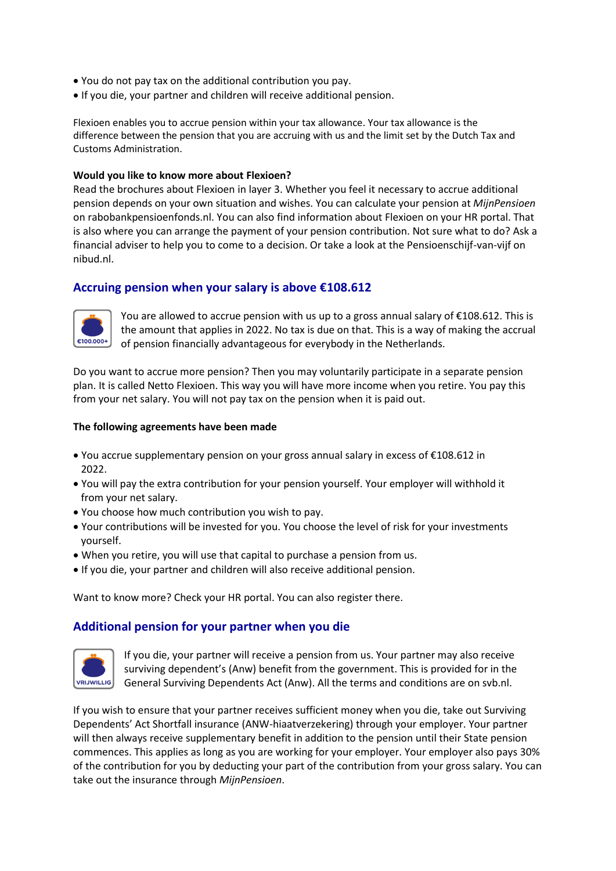- You do not pay tax on the additional contribution you pay.
- If you die, your partner and children will receive additional pension.

Flexioen enables you to accrue pension within your tax allowance. Your tax allowance is the difference between the pension that you are accruing with us and the limit set by the Dutch Tax and Customs Administration.

# **Would you like to know more about Flexioen?**

Read the brochures about Flexioen in layer 3. Whether you feel it necessary to accrue additional pension depends on your own situation and wishes. You can calculate your pension at *MijnPensioen* on rabobankpensioenfonds.nl. You can also find information about Flexioen on your HR portal. That is also where you can arrange the payment of your pension contribution. Not sure what to do? Ask a financial adviser to help you to come to a decision. Or take a look at the Pensioenschijf-van-vijf on nibud.nl.

# **Accruing pension when your salary is above €108.612**



You are allowed to accrue pension with us up to a gross annual salary of  $\epsilon$ 108.612. This is the amount that applies in 2022. No tax is due on that. This is a way of making the accrual of pension financially advantageous for everybody in the Netherlands.

Do you want to accrue more pension? Then you may voluntarily participate in a separate pension plan. It is called Netto Flexioen. This way you will have more income when you retire. You pay this from your net salary. You will not pay tax on the pension when it is paid out.

#### **The following agreements have been made**

- You accrue supplementary pension on your gross annual salary in excess of €108.612 in 2022.
- You will pay the extra contribution for your pension yourself. Your employer will withhold it from your net salary.
- You choose how much contribution you wish to pay.
- Your contributions will be invested for you. You choose the level of risk for your investments yourself.
- When you retire, you will use that capital to purchase a pension from us.
- If you die, your partner and children will also receive additional pension.

Want to know more? Check your HR portal. You can also register there.

# **Additional pension for your partner when you die**



If you die, your partner will receive a pension from us. Your partner may also receive surviving dependent's (Anw) benefit from the government. This is provided for in the General Surviving Dependents Act (Anw). All the terms and conditions are on svb.nl.

If you wish to ensure that your partner receives sufficient money when you die, take out Surviving Dependents' Act Shortfall insurance (ANW-hiaatverzekering) through your employer. Your partner will then always receive supplementary benefit in addition to the pension until their State pension commences. This applies as long as you are working for your employer. Your employer also pays 30% of the contribution for you by deducting your part of the contribution from your gross salary. You can take out the insurance through *MijnPensioen*.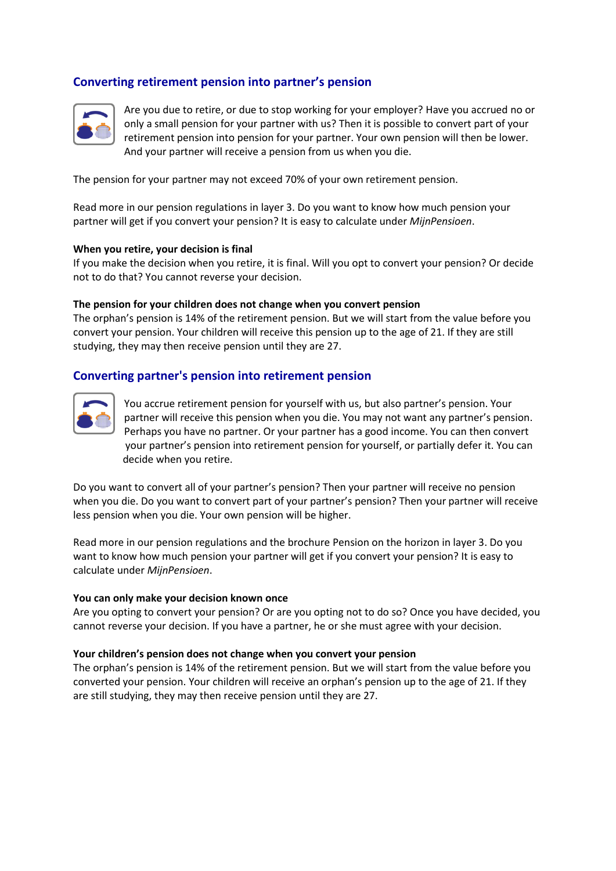# **Converting retirement pension into partner's pension**



Are you due to retire, or due to stop working for your employer? Have you accrued no or only a small pension for your partner with us? Then it is possible to convert part of your retirement pension into pension for your partner. Your own pension will then be lower. And your partner will receive a pension from us when you die.

The pension for your partner may not exceed 70% of your own retirement pension.

Read more in our pension regulations in layer 3. Do you want to know how much pension your partner will get if you convert your pension? It is easy to calculate under *MijnPensioen*.

#### **When you retire, your decision is final**

If you make the decision when you retire, it is final. Will you opt to convert your pension? Or decide not to do that? You cannot reverse your decision.

#### **The pension for your children does not change when you convert pension**

The orphan's pension is 14% of the retirement pension. But we will start from the value before you convert your pension. Your children will receive this pension up to the age of 21. If they are still studying, they may then receive pension until they are 27.

# **Converting partner's pension into retirement pension**



You accrue retirement pension for yourself with us, but also partner's pension. Your partner will receive this pension when you die. You may not want any partner's pension. Perhaps you have no partner. Or your partner has a good income. You can then convert your partner's pension into retirement pension for yourself, or partially defer it. You can decide when you retire.

Do you want to convert all of your partner's pension? Then your partner will receive no pension when you die. Do you want to convert part of your partner's pension? Then your partner will receive less pension when you die. Your own pension will be higher.

Read more in our pension regulations and the brochure Pension on the horizon in layer 3. Do you want to know how much pension your partner will get if you convert your pension? It is easy to calculate under *MijnPensioen*.

#### **You can only make your decision known once**

Are you opting to convert your pension? Or are you opting not to do so? Once you have decided, you cannot reverse your decision. If you have a partner, he or she must agree with your decision.

#### **Your children's pension does not change when you convert your pension**

The orphan's pension is 14% of the retirement pension. But we will start from the value before you converted your pension. Your children will receive an orphan's pension up to the age of 21. If they are still studying, they may then receive pension until they are 27.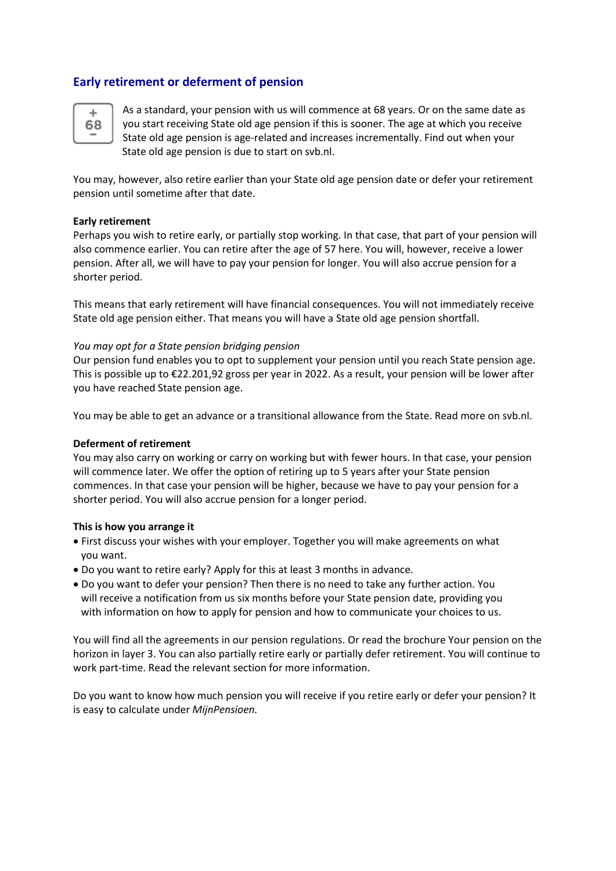# **Early retirement or deferment of pension**



As a standard, your pension with us will commence at 68 years. Or on the same date as you start receiving State old age pension if this is sooner. The age at which you receive State old age pension is age-related and increases incrementally. Find out when your State old age pension is due to start on svb.nl.

You may, however, also retire earlier than your State old age pension date or defer your retirement pension until sometime after that date.

# **Early retirement**

Perhaps you wish to retire early, or partially stop working. In that case, that part of your pension will also commence earlier. You can retire after the age of 57 here. You will, however, receive a lower pension. After all, we will have to pay your pension for longer. You will also accrue pension for a shorter period.

This means that early retirement will have financial consequences. You will not immediately receive State old age pension either. That means you will have a State old age pension shortfall.

#### *You may opt for a State pension bridging pension*

Our pension fund enables you to opt to supplement your pension until you reach State pension age. This is possible up to €22.201,92 gross per year in 2022. As a result, your pension will be lower after you have reached State pension age.

You may be able to get an advance or a transitional allowance from the State. Read more on svb.nl.

# **Deferment of retirement**

You may also carry on working or carry on working but with fewer hours. In that case, your pension will commence later. We offer the option of retiring up to 5 years after your State pension commences. In that case your pension will be higher, because we have to pay your pension for a shorter period. You will also accrue pension for a longer period.

#### **This is how you arrange it**

- First discuss your wishes with your employer. Together you will make agreements on what you want.
- Do you want to retire early? Apply for this at least 3 months in advance.
- Do you want to defer your pension? Then there is no need to take any further action. You will receive a notification from us six months before your State pension date, providing you with information on how to apply for pension and how to communicate your choices to us.

You will find all the agreements in our pension regulations. Or read the brochure Your pension on the horizon in layer 3. You can also partially retire early or partially defer retirement. You will continue to work part-time. Read the relevant section for more information.

Do you want to know how much pension you will receive if you retire early or defer your pension? It is easy to calculate under *MijnPensioen.*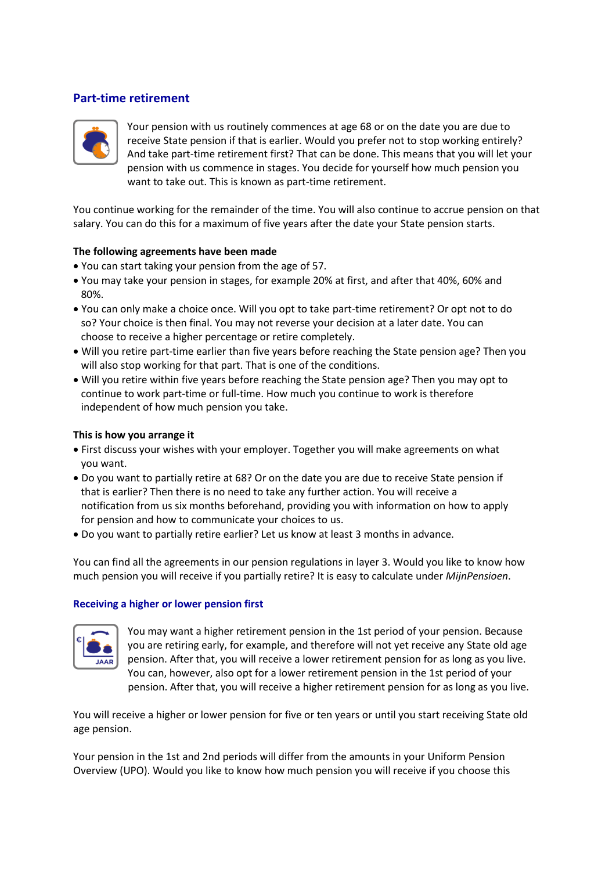# **Part-time retirement**



Your pension with us routinely commences at age 68 or on the date you are due to receive State pension if that is earlier. Would you prefer not to stop working entirely? And take part-time retirement first? That can be done. This means that you will let your pension with us commence in stages. You decide for yourself how much pension you want to take out. This is known as part-time retirement.

You continue working for the remainder of the time. You will also continue to accrue pension on that salary. You can do this for a maximum of five years after the date your State pension starts.

#### **The following agreements have been made**

- You can start taking your pension from the age of 57.
- You may take your pension in stages, for example 20% at first, and after that 40%, 60% and 80%.
- You can only make a choice once. Will you opt to take part-time retirement? Or opt not to do so? Your choice is then final. You may not reverse your decision at a later date. You can choose to receive a higher percentage or retire completely.
- Will you retire part-time earlier than five years before reaching the State pension age? Then you will also stop working for that part. That is one of the conditions.
- Will you retire within five years before reaching the State pension age? Then you may opt to continue to work part-time or full-time. How much you continue to work is therefore independent of how much pension you take.

### **This is how you arrange it**

- First discuss your wishes with your employer. Together you will make agreements on what you want.
- Do you want to partially retire at 68? Or on the date you are due to receive State pension if that is earlier? Then there is no need to take any further action. You will receive a notification from us six months beforehand, providing you with information on how to apply for pension and how to communicate your choices to us.
- Do you want to partially retire earlier? Let us know at least 3 months in advance.

You can find all the agreements in our pension regulations in layer 3. Would you like to know how much pension you will receive if you partially retire? It is easy to calculate under *MijnPensioen*.

#### **Receiving a higher or lower pension first**



You may want a higher retirement pension in the 1st period of your pension. Because you are retiring early, for example, and therefore will not yet receive any State old age pension. After that, you will receive a lower retirement pension for as long as you live. You can, however, also opt for a lower retirement pension in the 1st period of your pension. After that, you will receive a higher retirement pension for as long as you live.

You will receive a higher or lower pension for five or ten years or until you start receiving State old age pension.

Your pension in the 1st and 2nd periods will differ from the amounts in your Uniform Pension Overview (UPO). Would you like to know how much pension you will receive if you choose this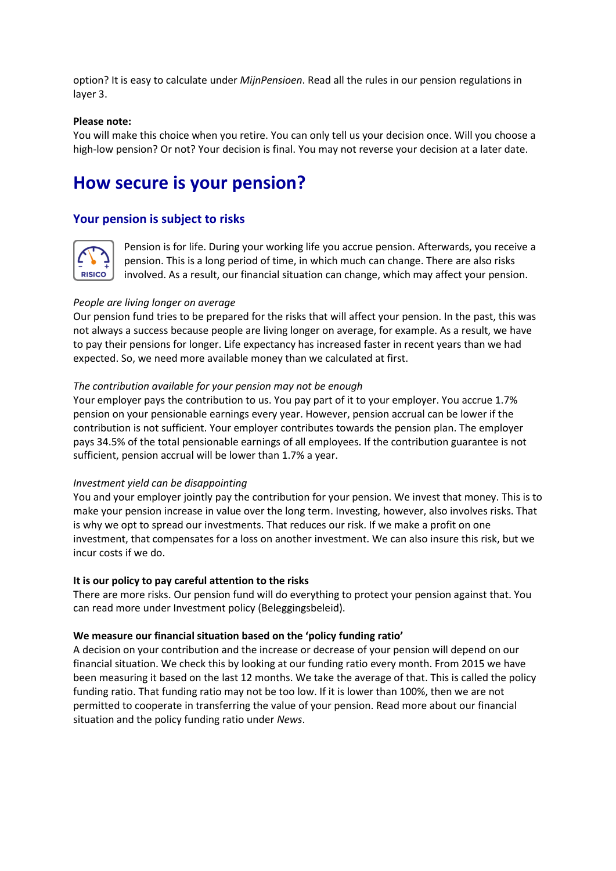option? It is easy to calculate under *MijnPensioen*. Read all the rules in our pension regulations in layer 3.

### **Please note:**

You will make this choice when you retire. You can only tell us your decision once. Will you choose a high-low pension? Or not? Your decision is final. You may not reverse your decision at a later date.

# **How secure is your pension?**

# **Your pension is subject to risks**



Pension is for life. During your working life you accrue pension. Afterwards, you receive a pension. This is a long period of time, in which much can change. There are also risks involved. As a result, our financial situation can change, which may affect your pension.

#### *People are living longer on average*

Our pension fund tries to be prepared for the risks that will affect your pension. In the past, this was not always a success because people are living longer on average, for example. As a result, we have to pay their pensions for longer. Life expectancy has increased faster in recent years than we had expected. So, we need more available money than we calculated at first.

#### *The contribution available for your pension may not be enough*

Your employer pays the contribution to us. You pay part of it to your employer. You accrue 1.7% pension on your pensionable earnings every year. However, pension accrual can be lower if the contribution is not sufficient. Your employer contributes towards the pension plan. The employer pays 34.5% of the total pensionable earnings of all employees. If the contribution guarantee is not sufficient, pension accrual will be lower than 1.7% a year.

#### *Investment yield can be disappointing*

You and your employer jointly pay the contribution for your pension. We invest that money. This is to make your pension increase in value over the long term. Investing, however, also involves risks. That is why we opt to spread our investments. That reduces our risk. If we make a profit on one investment, that compensates for a loss on another investment. We can also insure this risk, but we incur costs if we do.

#### **It is our policy to pay careful attention to the risks**

There are more risks. Our pension fund will do everything to protect your pension against that. You can read more under Investment policy (Beleggingsbeleid).

#### **We measure our financial situation based on the 'policy funding ratio'**

A decision on your contribution and the increase or decrease of your pension will depend on our financial situation. We check this by looking at our funding ratio every month. From 2015 we have been measuring it based on the last 12 months. We take the average of that. This is called the policy funding ratio. That funding ratio may not be too low. If it is lower than 100%, then we are not permitted to cooperate in transferring the value of your pension. Read more about our financial situation and the policy funding ratio under *News*.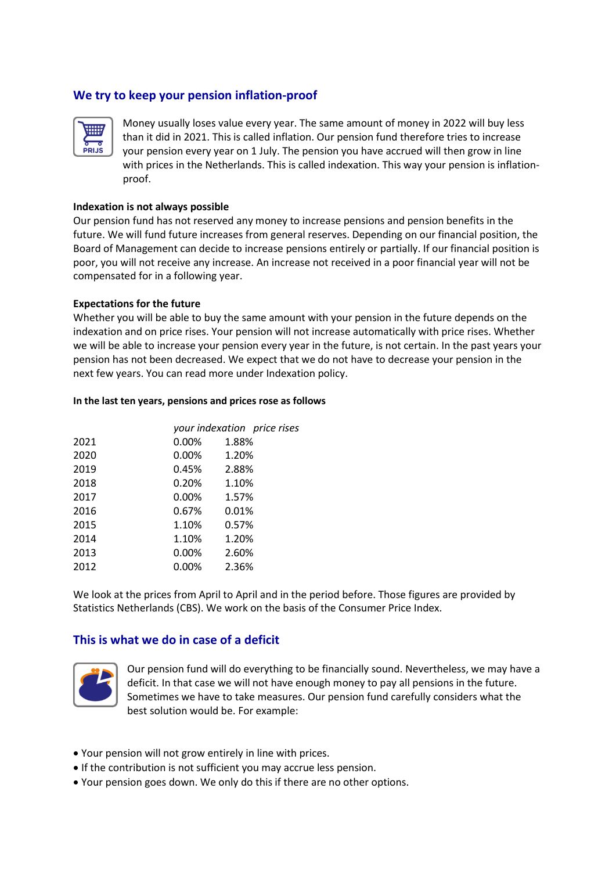# **We try to keep your pension inflation-proof**



Money usually loses value every year. The same amount of money in 2022 will buy less than it did in 2021. This is called inflation. Our pension fund therefore tries to increase your pension every year on 1 July. The pension you have accrued will then grow in line with prices in the Netherlands. This is called indexation. This way your pension is inflation proof.

#### **Indexation is not always possible**

Our pension fund has not reserved any money to increase pensions and pension benefits in the future. We will fund future increases from general reserves. Depending on our financial position, the Board of Management can decide to increase pensions entirely or partially. If our financial position is poor, you will not receive any increase. An increase not received in a poor financial year will not be compensated for in a following year.

#### **Expectations for the future**

Whether you will be able to buy the same amount with your pension in the future depends on the indexation and on price rises. Your pension will not increase automatically with price rises. Whether we will be able to increase your pension every year in the future, is not certain. In the past years your pension has not been decreased. We expect that we do not have to decrease your pension in the next few years. You can read more under Indexation policy.

#### **In the last ten years, pensions and prices rose as follows**

|      |          | your indexation price rises |
|------|----------|-----------------------------|
| 2021 | 0.00%    | 1.88%                       |
| 2020 | 0.00%    | 1.20%                       |
| 2019 | 0.45%    | 2.88%                       |
| 2018 | 0.20%    | 1.10%                       |
| 2017 | $0.00\%$ | 1.57%                       |
| 2016 | 0.67%    | 0.01%                       |
| 2015 | 1.10%    | 0.57%                       |
| 2014 | 1.10%    | 1.20%                       |
| 2013 | $0.00\%$ | 2.60%                       |
| 2012 | $0.00\%$ | 2.36%                       |

We look at the prices from April to April and in the period before. Those figures are provided by Statistics Netherlands (CBS). We work on the basis of the Consumer Price Index.

# **This is what we do in case of a deficit**



Our pension fund will do everything to be financially sound. Nevertheless, we may have a deficit. In that case we will not have enough money to pay all pensions in the future. Sometimes we have to take measures. Our pension fund carefully considers what the best solution would be. For example:

- Your pension will not grow entirely in line with prices.
- If the contribution is not sufficient you may accrue less pension.
- Your pension goes down. We only do this if there are no other options.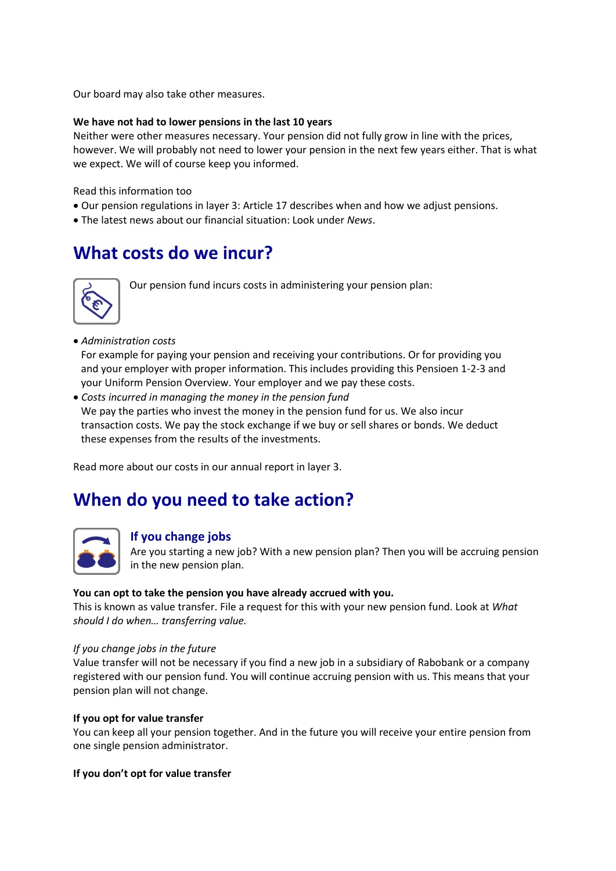Our board may also take other measures.

# **We have not had to lower pensions in the last 10 years**

Neither were other measures necessary. Your pension did not fully grow in line with the prices, however. We will probably not need to lower your pension in the next few years either. That is what we expect. We will of course keep you informed.

Read this information too

- Our pension regulations in layer 3: Article 17 describes when and how we adjust pensions.
- The latest news about our financial situation: Look under *News*.

# **What costs do we incur?**



Our pension fund incurs costs in administering your pension plan:

• *Administration costs*

 For example for paying your pension and receiving your contributions. Or for providing you and your employer with proper information. This includes providing this Pensioen 1-2-3 and your Uniform Pension Overview. Your employer and we pay these costs.

• *Costs incurred in managing the money in the pension fund*

 We pay the parties who invest the money in the pension fund for us. We also incur transaction costs. We pay the stock exchange if we buy or sell shares or bonds. We deduct these expenses from the results of the investments.

Read more about our costs in our annual report in layer 3.

# **When do you need to take action?**



# **If you change jobs**

Are you starting a new job? With a new pension plan? Then you will be accruing pension in the new pension plan.

#### **You can opt to take the pension you have already accrued with you.**

This is known as value transfer. File a request for this with your new pension fund. Look at *What should I do when… transferring value.*

#### *If you change jobs in the future*

Value transfer will not be necessary if you find a new job in a subsidiary of Rabobank or a company registered with our pension fund. You will continue accruing pension with us. This means that your pension plan will not change.

# **If you opt for value transfer**

You can keep all your pension together. And in the future you will receive your entire pension from one single pension administrator.

#### **If you don't opt for value transfer**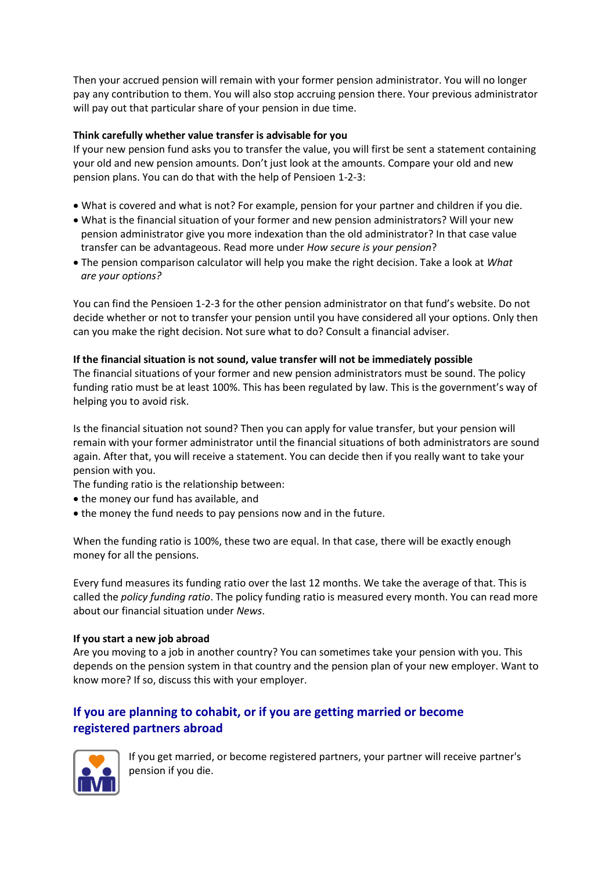Then your accrued pension will remain with your former pension administrator. You will no longer pay any contribution to them. You will also stop accruing pension there. Your previous administrator will pay out that particular share of your pension in due time.

# **Think carefully whether value transfer is advisable for you**

If your new pension fund asks you to transfer the value, you will first be sent a statement containing your old and new pension amounts. Don't just look at the amounts. Compare your old and new pension plans. You can do that with the help of Pensioen 1-2-3:

- What is covered and what is not? For example, pension for your partner and children if you die.
- What is the financial situation of your former and new pension administrators? Will your new pension administrator give you more indexation than the old administrator? In that case value transfer can be advantageous. Read more under *How secure is your pension*?
- The pension comparison calculator will help you make the right decision. Take a look at *What are your options?*

You can find the Pensioen 1-2-3 for the other pension administrator on that fund's website. Do not decide whether or not to transfer your pension until you have considered all your options. Only then can you make the right decision. Not sure what to do? Consult a financial adviser.

# **If the financial situation is not sound, value transfer will not be immediately possible**

The financial situations of your former and new pension administrators must be sound. The policy funding ratio must be at least 100%. This has been regulated by law. This is the government's way of helping you to avoid risk.

Is the financial situation not sound? Then you can apply for value transfer, but your pension will remain with your former administrator until the financial situations of both administrators are sound again. After that, you will receive a statement. You can decide then if you really want to take your pension with you.

The funding ratio is the relationship between:

- the money our fund has available, and
- the money the fund needs to pay pensions now and in the future.

When the funding ratio is 100%, these two are equal. In that case, there will be exactly enough money for all the pensions.

Every fund measures its funding ratio over the last 12 months. We take the average of that. This is called the *policy funding ratio*. The policy funding ratio is measured every month. You can read more about our financial situation under *News*.

# **If you start a new job abroad**

Are you moving to a job in another country? You can sometimes take your pension with you. This depends on the pension system in that country and the pension plan of your new employer. Want to know more? If so, discuss this with your employer.

# **If you are planning to cohabit, or if you are getting married or become registered partners abroad**



If you get married, or become registered partners, your partner will receive partner's pension if you die.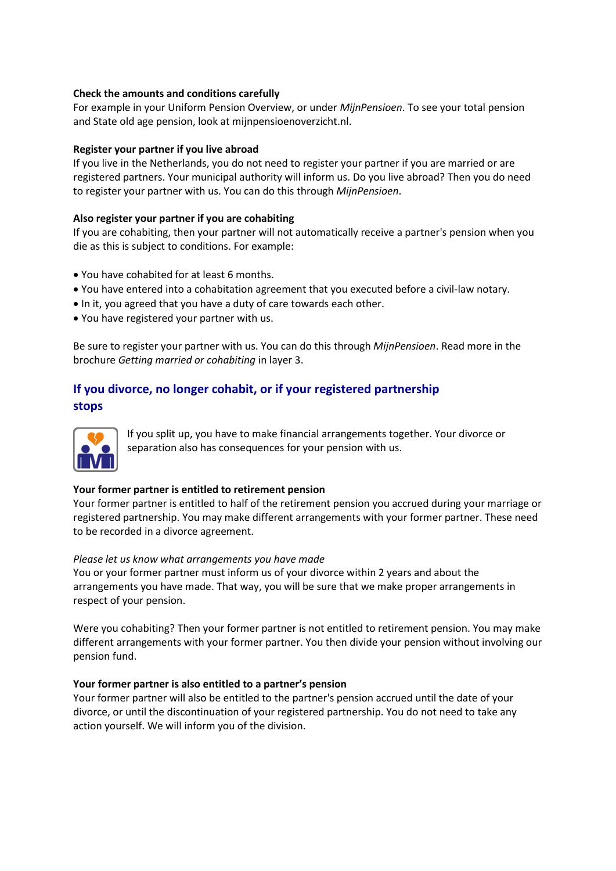# **Check the amounts and conditions carefully**

For example in your Uniform Pension Overview, or under *MijnPensioen*. To see your total pension and State old age pension, look at mijnpensioenoverzicht.nl.

# **Register your partner if you live abroad**

If you live in the Netherlands, you do not need to register your partner if you are married or are registered partners. Your municipal authority will inform us. Do you live abroad? Then you do need to register your partner with us. You can do this through *MijnPensioen*.

# **Also register your partner if you are cohabiting**

If you are cohabiting, then your partner will not automatically receive a partner's pension when you die as this is subject to conditions. For example:

- You have cohabited for at least 6 months.
- You have entered into a cohabitation agreement that you executed before a civil-law notary.
- In it, you agreed that you have a duty of care towards each other.
- You have registered your partner with us.

Be sure to register your partner with us. You can do this through *MijnPensioen*. Read more in the brochure *Getting married or cohabiting* in layer 3.

# **If you divorce, no longer cohabit, or if your registered partnership stops**



If you split up, you have to make financial arrangements together. Your divorce or separation also has consequences for your pension with us.

# **Your former partner is entitled to retirement pension**

Your former partner is entitled to half of the retirement pension you accrued during your marriage or registered partnership. You may make different arrangements with your former partner. These need to be recorded in a divorce agreement.

# *Please let us know what arrangements you have made*

You or your former partner must inform us of your divorce within 2 years and about the arrangements you have made. That way, you will be sure that we make proper arrangements in respect of your pension.

Were you cohabiting? Then your former partner is not entitled to retirement pension. You may make different arrangements with your former partner. You then divide your pension without involving our pension fund.

# **Your former partner is also entitled to a partner's pension**

Your former partner will also be entitled to the partner's pension accrued until the date of your divorce, or until the discontinuation of your registered partnership. You do not need to take any action yourself. We will inform you of the division.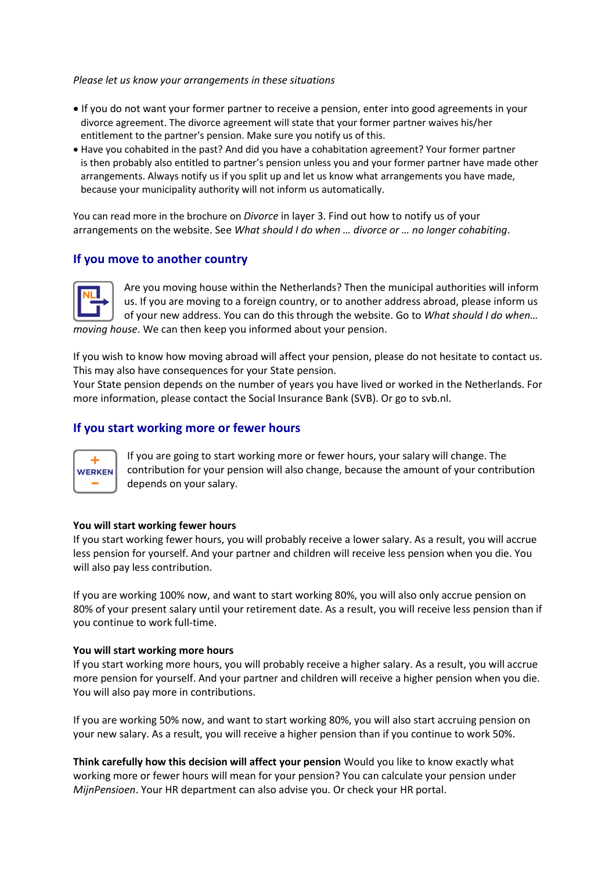*Please let us know your arrangements in these situations*

- If you do not want your former partner to receive a pension, enter into good agreements in your divorce agreement. The divorce agreement will state that your former partner waives his/her entitlement to the partner's pension. Make sure you notify us of this.
- Have you cohabited in the past? And did you have a cohabitation agreement? Your former partner is then probably also entitled to partner's pension unless you and your former partner have made other arrangements. Always notify us if you split up and let us know what arrangements you have made, because your municipality authority will not inform us automatically.

You can read more in the brochure on *Divorce* in layer 3. Find out how to notify us of your arrangements on the website. See *What should I do when … divorce or … no longer cohabiting*.

# **If you move to another country**



Are you moving house within the Netherlands? Then the municipal authorities will inform us. If you are moving to a foreign country, or to another address abroad, please inform us of your new address. You can do this through the website. Go to *What should I do when… moving house*. We can then keep you informed about your pension.

If you wish to know how moving abroad will affect your pension, please do not hesitate to contact us. This may also have consequences for your State pension.

Your State pension depends on the number of years you have lived or worked in the Netherlands. For more information, please contact the Social Insurance Bank (SVB). Or go to svb.nl.

# **If you start working more or fewer hours**



If you are going to start working more or fewer hours, your salary will change. The contribution for your pension will also change, because the amount of your contribution depends on your salary.

# **You will start working fewer hours**

If you start working fewer hours, you will probably receive a lower salary. As a result, you will accrue less pension for yourself. And your partner and children will receive less pension when you die. You will also pay less contribution.

If you are working 100% now, and want to start working 80%, you will also only accrue pension on 80% of your present salary until your retirement date. As a result, you will receive less pension than if you continue to work full-time.

#### **You will start working more hours**

If you start working more hours, you will probably receive a higher salary. As a result, you will accrue more pension for yourself. And your partner and children will receive a higher pension when you die. You will also pay more in contributions.

If you are working 50% now, and want to start working 80%, you will also start accruing pension on your new salary. As a result, you will receive a higher pension than if you continue to work 50%.

**Think carefully how this decision will affect your pension** Would you like to know exactly what working more or fewer hours will mean for your pension? You can calculate your pension under *MijnPensioen*. Your HR department can also advise you. Or check your HR portal.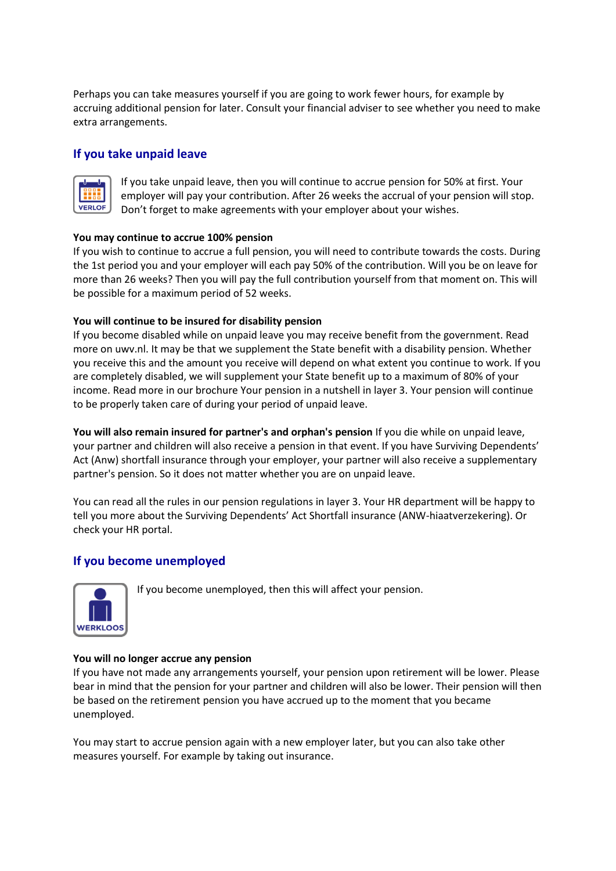Perhaps you can take measures yourself if you are going to work fewer hours, for example by accruing additional pension for later. Consult your financial adviser to see whether you need to make extra arrangements.

# **If you take unpaid leave**



If you take unpaid leave, then you will continue to accrue pension for 50% at first. Your employer will pay your contribution. After 26 weeks the accrual of your pension will stop. Don't forget to make agreements with your employer about your wishes.

# **You may continue to accrue 100% pension**

If you wish to continue to accrue a full pension, you will need to contribute towards the costs. During the 1st period you and your employer will each pay 50% of the contribution. Will you be on leave for more than 26 weeks? Then you will pay the full contribution yourself from that moment on. This will be possible for a maximum period of 52 weeks.

# **You will continue to be insured for disability pension**

If you become disabled while on unpaid leave you may receive benefit from the government. Read more on uwv.nl. It may be that we supplement the State benefit with a disability pension. Whether you receive this and the amount you receive will depend on what extent you continue to work. If you are completely disabled, we will supplement your State benefit up to a maximum of 80% of your income. Read more in our brochure Your pension in a nutshell in layer 3. Your pension will continue to be properly taken care of during your period of unpaid leave.

**You will also remain insured for partner's and orphan's pension** If you die while on unpaid leave, your partner and children will also receive a pension in that event. If you have Surviving Dependents' Act (Anw) shortfall insurance through your employer, your partner will also receive a supplementary partner's pension. So it does not matter whether you are on unpaid leave.

You can read all the rules in our pension regulations in layer 3. Your HR department will be happy to tell you more about the Surviving Dependents' Act Shortfall insurance (ANW-hiaatverzekering). Or check your HR portal.

# **If you become unemployed**



If you become unemployed, then this will affect your pension.

# **You will no longer accrue any pension**

If you have not made any arrangements yourself, your pension upon retirement will be lower. Please bear in mind that the pension for your partner and children will also be lower. Their pension will then be based on the retirement pension you have accrued up to the moment that you became unemployed.

You may start to accrue pension again with a new employer later, but you can also take other measures yourself. For example by taking out insurance.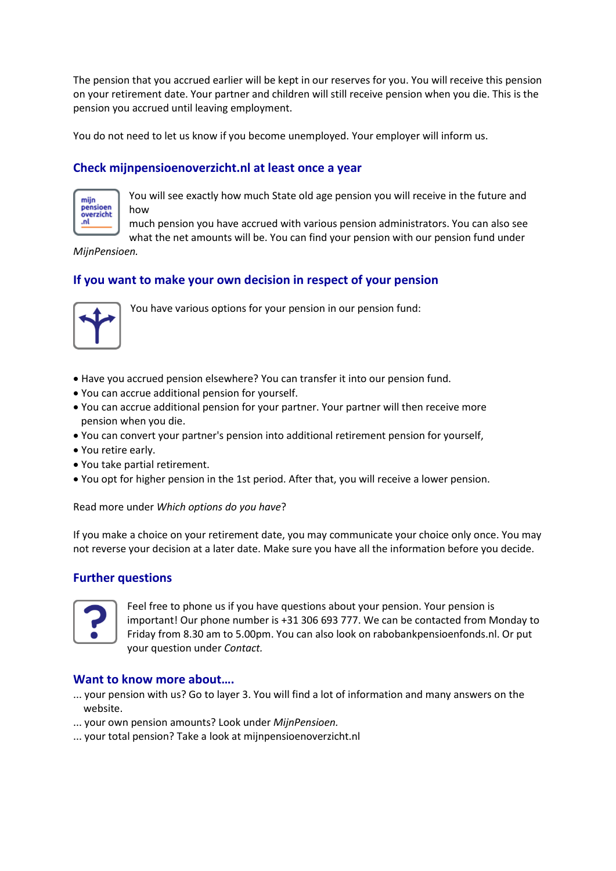The pension that you accrued earlier will be kept in our reserves for you. You will receive this pension on your retirement date. Your partner and children will still receive pension when you die. This is the pension you accrued until leaving employment.

You do not need to let us know if you become unemployed. Your employer will inform us.

# **Check mijnpensioenoverzicht.nl at least once a year**



You will see exactly how much State old age pension you will receive in the future and how

much pension you have accrued with various pension administrators. You can also see what the net amounts will be. You can find your pension with our pension fund under

*MijnPensioen.*

# **If you want to make your own decision in respect of your pension**



You have various options for your pension in our pension fund:

- Have you accrued pension elsewhere? You can transfer it into our pension fund.
- You can accrue additional pension for yourself.
- You can accrue additional pension for your partner. Your partner will then receive more pension when you die.
- You can convert your partner's pension into additional retirement pension for yourself,
- You retire early.
- You take partial retirement.
- You opt for higher pension in the 1st period. After that, you will receive a lower pension.

Read more under *Which options do you have*?

If you make a choice on your retirement date, you may communicate your choice only once. You may not reverse your decision at a later date. Make sure you have all the information before you decide.

# **Further questions**



Feel free to phone us if you have questions about your pension. Your pension is important! Our phone number is +31 306 693 777. We can be contacted from Monday to Friday from 8.30 am to 5.00pm. You can also look on rabobankpensioenfonds.nl. Or put your question under *Contact.*

# **Want to know more about….**

- ... your pension with us? Go to layer 3. You will find a lot of information and many answers on the website.
- ... your own pension amounts? Look under *MijnPensioen.*
- ... your total pension? Take a look at mijnpensioenoverzicht.nl